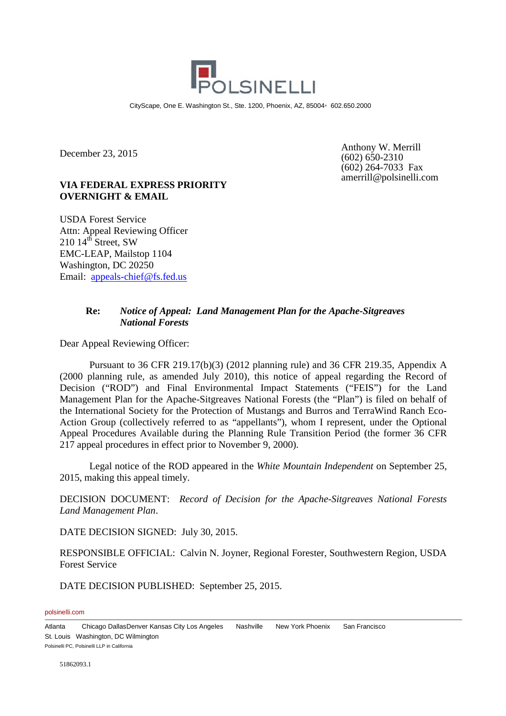

CityScape, One E. Washington St., Ste. 1200, Phoenix, AZ, 85004 602.650.2000

December 23, 2015

**VIA FEDERAL EXPRESS PRIORITY OVERNIGHT & EMAIL**

USDA Forest Service Attn: Appeal Reviewing Officer  $210\;14^{\text{th}}$  Street, SW EMC-LEAP, Mailstop 1104 Washington, DC 20250 Email: appeals-chief@fs.fed.us

Anthony W. Merrill  $(602) 650 - 2310$ (602) 264-7033 Fax amerrill@polsinelli.com

# **Re:** *Notice of Appeal: Land Management Plan for the Apache-Sitgreaves National Forests*

Dear Appeal Reviewing Officer:

Pursuant to 36 CFR 219.17(b)(3) (2012 planning rule) and 36 CFR 219.35, Appendix A (2000 planning rule, as amended July 2010), this notice of appeal regarding the Record of Decision ("ROD") and Final Environmental Impact Statements ("FEIS") for the Land Management Plan for the Apache-Sitgreaves National Forests (the "Plan") is filed on behalf of the International Society for the Protection of Mustangs and Burros and TerraWind Ranch Eco-Action Group (collectively referred to as "appellants"), whom I represent, under the Optional Appeal Procedures Available during the Planning Rule Transition Period (the former 36 CFR 217 appeal procedures in effect prior to November 9, 2000).

Legal notice of the ROD appeared in the *White Mountain Independent* on September 25, 2015, making this appeal timely.

DECISION DOCUMENT: *Record of Decision for the Apache-Sitgreaves National Forests Land Management Plan*.

DATE DECISION SIGNED: July 30, 2015.

RESPONSIBLE OFFICIAL: Calvin N. Joyner, Regional Forester, Southwestern Region, USDA Forest Service

DATE DECISION PUBLISHED: September 25, 2015.

polsinelli.com

Atlanta Chicago DallasDenver Kansas City Los Angeles Nashville New York Phoenix San Francisco St. Louis Washington, DC Wilmington Polsinelli PC, Polsinelli LLP in California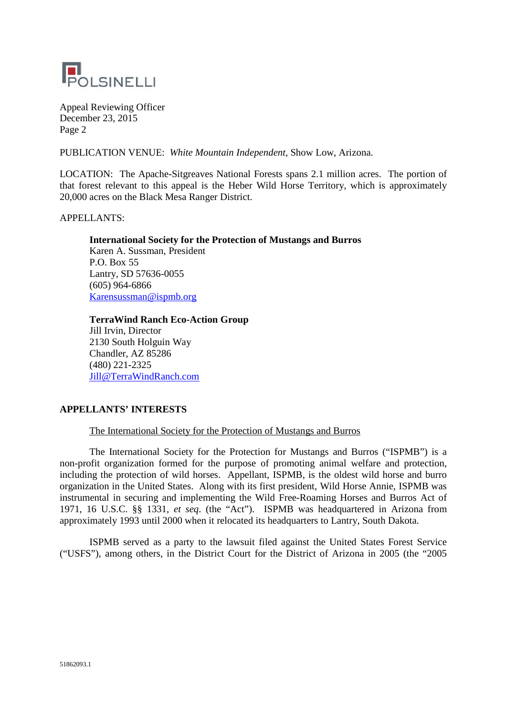

PUBLICATION VENUE: *White Mountain Independent*, Show Low, Arizona.

LOCATION: The Apache-Sitgreaves National Forests spans 2.1 million acres. The portion of that forest relevant to this appeal is the Heber Wild Horse Territory, which is approximately 20,000 acres on the Black Mesa Ranger District.

APPELLANTS:

# **International Society for the Protection of Mustangs and Burros**

Karen A. Sussman, President P.O. Box 55 Lantry, SD 57636-0055 (605) 964-6866 Karensussman@ispmb.org

# **TerraWind Ranch Eco-Action Group**

Jill Irvin, Director 2130 South Holguin Way Chandler, AZ 85286 (480) 221-2325 Jill@TerraWindRanch.com

# **APPELLANTS' INTERESTS**

# The International Society for the Protection of Mustangs and Burros

The International Society for the Protection for Mustangs and Burros ("ISPMB") is a non-profit organization formed for the purpose of promoting animal welfare and protection, including the protection of wild horses. Appellant, ISPMB, is the oldest wild horse and burro organization in the United States. Along with its first president, Wild Horse Annie, ISPMB was instrumental in securing and implementing the Wild Free-Roaming Horses and Burros Act of 1971, 16 U.S.C. §§ 1331, *et seq*. (the "Act"). ISPMB was headquartered in Arizona from approximately 1993 until 2000 when it relocated its headquarters to Lantry, South Dakota.

ISPMB served as a party to the lawsuit filed against the United States Forest Service ("USFS"), among others, in the District Court for the District of Arizona in 2005 (the "2005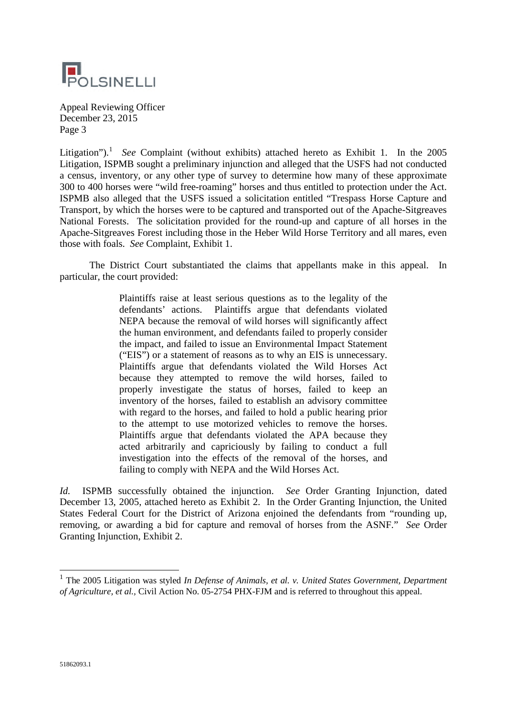

Litigation").<sup>1</sup> See Complaint (without exhibits) attached hereto as Exhibit 1. In the 2005 Litigation, ISPMB sought a preliminary injunction and alleged that the USFS had not conducted a census, inventory, or any other type of survey to determine how many of these approximate 300 to 400 horses were "wild free-roaming" horses and thus entitled to protection under the Act. ISPMB also alleged that the USFS issued a solicitation entitled "Trespass Horse Capture and Transport, by which the horses were to be captured and transported out of the Apache-Sitgreaves National Forests. The solicitation provided for the round-up and capture of all horses in the Apache-Sitgreaves Forest including those in the Heber Wild Horse Territory and all mares, even those with foals. *See* Complaint, Exhibit 1.

The District Court substantiated the claims that appellants make in this appeal. In particular, the court provided:

> Plaintiffs raise at least serious questions as to the legality of the defendants' actions. Plaintiffs argue that defendants violated NEPA because the removal of wild horses will significantly affect the human environment, and defendants failed to properly consider the impact, and failed to issue an Environmental Impact Statement ("EIS") or a statement of reasons as to why an EIS is unnecessary. Plaintiffs argue that defendants violated the Wild Horses Act because they attempted to remove the wild horses, failed to properly investigate the status of horses, failed to keep an inventory of the horses, failed to establish an advisory committee with regard to the horses, and failed to hold a public hearing prior to the attempt to use motorized vehicles to remove the horses. Plaintiffs argue that defendants violated the APA because they acted arbitrarily and capriciously by failing to conduct a full investigation into the effects of the removal of the horses, and failing to comply with NEPA and the Wild Horses Act.

*Id.* ISPMB successfully obtained the injunction. *See* Order Granting Injunction, dated December 13, 2005, attached hereto as Exhibit 2. In the Order Granting Injunction, the United States Federal Court for the District of Arizona enjoined the defendants from "rounding up, removing, or awarding a bid for capture and removal of horses from the ASNF." *See* Order Granting Injunction, Exhibit 2.

<sup>&</sup>lt;sup>1</sup> The 2005 Litigation was styled *In Defense of Animals, et al. v. United States Government, Department of Agriculture, et al.,* Civil Action No. 05-2754 PHX-FJM and is referred to throughout this appeal.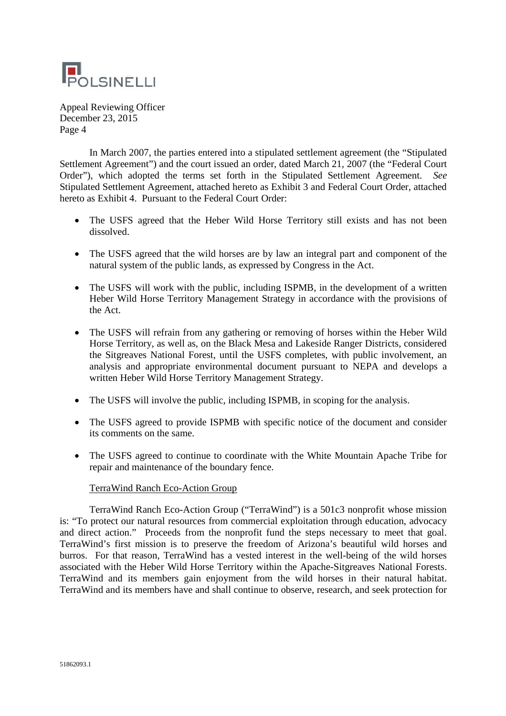

In March 2007, the parties entered into a stipulated settlement agreement (the "Stipulated Settlement Agreement") and the court issued an order, dated March 21, 2007 (the "Federal Court Order"), which adopted the terms set forth in the Stipulated Settlement Agreement. *See* Stipulated Settlement Agreement, attached hereto as Exhibit 3 and Federal Court Order, attached hereto as Exhibit 4. Pursuant to the Federal Court Order:

- The USFS agreed that the Heber Wild Horse Territory still exists and has not been dissolved.
- The USFS agreed that the wild horses are by law an integral part and component of the natural system of the public lands, as expressed by Congress in the Act.
- The USFS will work with the public, including ISPMB, in the development of a written Heber Wild Horse Territory Management Strategy in accordance with the provisions of the Act.
- The USFS will refrain from any gathering or removing of horses within the Heber Wild Horse Territory, as well as, on the Black Mesa and Lakeside Ranger Districts, considered the Sitgreaves National Forest, until the USFS completes, with public involvement, an analysis and appropriate environmental document pursuant to NEPA and develops a written Heber Wild Horse Territory Management Strategy.
- The USFS will involve the public, including ISPMB, in scoping for the analysis.
- The USFS agreed to provide ISPMB with specific notice of the document and consider its comments on the same.
- The USFS agreed to continue to coordinate with the White Mountain Apache Tribe for repair and maintenance of the boundary fence.

# TerraWind Ranch Eco-Action Group

TerraWind Ranch Eco-Action Group ("TerraWind") is a 501c3 nonprofit whose mission is: "To protect our natural resources from commercial exploitation through education, advocacy and direct action." Proceeds from the nonprofit fund the steps necessary to meet that goal. TerraWind's first mission is to preserve the freedom of Arizona's beautiful wild horses and burros. For that reason, TerraWind has a vested interest in the well-being of the wild horses associated with the Heber Wild Horse Territory within the Apache-Sitgreaves National Forests. TerraWind and its members gain enjoyment from the wild horses in their natural habitat. TerraWind and its members have and shall continue to observe, research, and seek protection for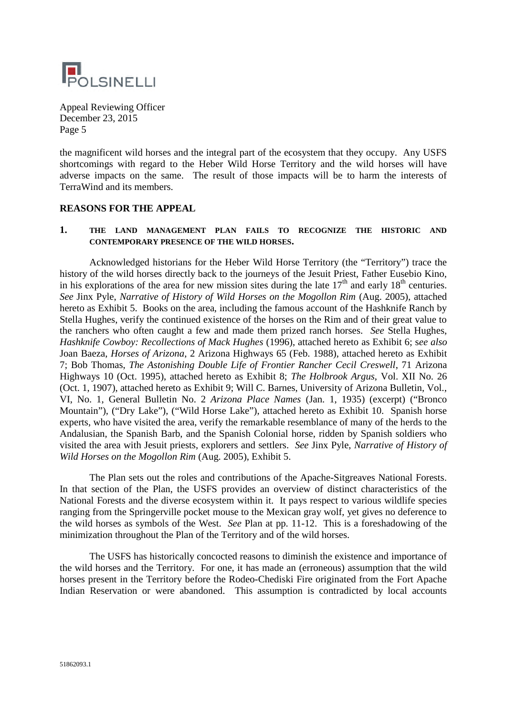

the magnificent wild horses and the integral part of the ecosystem that they occupy. Any USFS shortcomings with regard to the Heber Wild Horse Territory and the wild horses will have adverse impacts on the same. The result of those impacts will be to harm the interests of TerraWind and its members.

## **REASONS FOR THE APPEAL**

## **1. THE LAND MANAGEMENT PLAN FAILS TO RECOGNIZE THE HISTORIC AND CONTEMPORARY PRESENCE OF THE WILD HORSES.**

Acknowledged historians for the Heber Wild Horse Territory (the "Territory") trace the history of the wild horses directly back to the journeys of the Jesuit Priest, Father Eusebio Kino, in his explorations of the area for new mission sites during the late  $17<sup>th</sup>$  and early  $18<sup>th</sup>$  centuries. *See* Jinx Pyle, *Narrative of History of Wild Horses on the Mogollon Rim* (Aug. 2005), attached hereto as Exhibit 5. Books on the area, including the famous account of the Hashknife Ranch by Stella Hughes, verify the continued existence of the horses on the Rim and of their great value to the ranchers who often caught a few and made them prized ranch horses. *See* Stella Hughes, *Hashknife Cowboy: Recollections of Mack Hughes* (1996), attached hereto as Exhibit 6; s*ee also* Joan Baeza, *Horses of Arizona*, 2 Arizona Highways 65 (Feb. 1988), attached hereto as Exhibit 7; Bob Thomas, *The Astonishing Double Life of Frontier Rancher Cecil Creswell*, 71 Arizona Highways 10 (Oct. 1995), attached hereto as Exhibit 8; *The Holbrook Argus*, Vol. XII No. 26 (Oct. 1, 1907), attached hereto as Exhibit 9; Will C. Barnes, University of Arizona Bulletin, Vol., VI, No. 1, General Bulletin No. 2 *Arizona Place Names* (Jan. 1, 1935) (excerpt) ("Bronco Mountain"), ("Dry Lake"), ("Wild Horse Lake"), attached hereto as Exhibit 10. Spanish horse experts, who have visited the area, verify the remarkable resemblance of many of the herds to the Andalusian, the Spanish Barb, and the Spanish Colonial horse, ridden by Spanish soldiers who visited the area with Jesuit priests, explorers and settlers. *See* Jinx Pyle, *Narrative of History of Wild Horses on the Mogollon Rim* (Aug. 2005), Exhibit 5.

The Plan sets out the roles and contributions of the Apache-Sitgreaves National Forests. In that section of the Plan, the USFS provides an overview of distinct characteristics of the National Forests and the diverse ecosystem within it. It pays respect to various wildlife species ranging from the Springerville pocket mouse to the Mexican gray wolf, yet gives no deference to the wild horses as symbols of the West. *See* Plan at pp. 11-12. This is a foreshadowing of the minimization throughout the Plan of the Territory and of the wild horses.

The USFS has historically concocted reasons to diminish the existence and importance of the wild horses and the Territory. For one, it has made an (erroneous) assumption that the wild horses present in the Territory before the Rodeo-Chediski Fire originated from the Fort Apache Indian Reservation or were abandoned. This assumption is contradicted by local accounts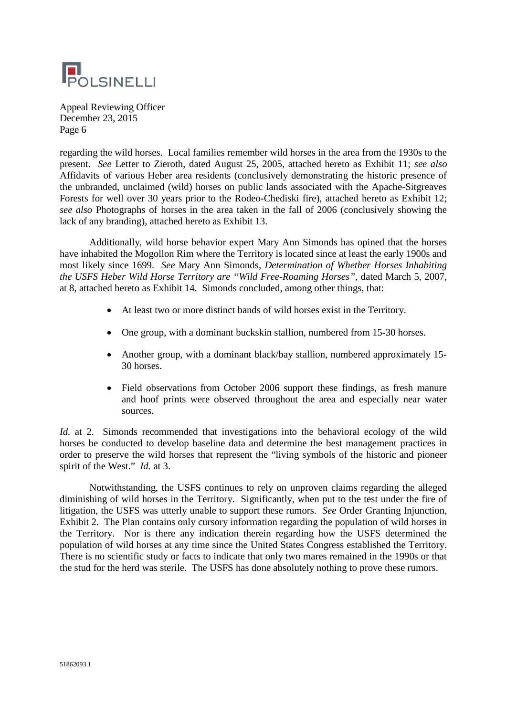

regarding the wild horses. Local families remember wild horses in the area from the 1930s to the present. *See* Letter to Zieroth, dated August 25, 2005, attached hereto as Exhibit 11; *see also* Affidavits of various Heber area residents (conclusively demonstrating the historic presence of the unbranded, unclaimed (wild) horses on public lands associated with the Apache-Sitgreaves Forests for well over 30 years prior to the Rodeo-Chediski fire), attached hereto as Exhibit 12; *see also* Photographs of horses in the area taken in the fall of 2006 (conclusively showing the lack of any branding), attached hereto as Exhibit 13.

Additionally, wild horse behavior expert Mary Ann Simonds has opined that the horses have inhabited the Mogollon Rim where the Territory is located since at least the early 1900s and most likely since 1699. *See* Mary Ann Simonds, *Determination of Whether Horses Inhabiting the USFS Heber Wild Horse Territory are "Wild Free-Roaming Horses"*, dated March 5, 2007, at 8, attached hereto as Exhibit 14. Simonds concluded, among other things, that:

- At least two or more distinct bands of wild horses exist in the Territory.
- One group, with a dominant buckskin stallion, numbered from 15-30 horses.
- Another group, with a dominant black/bay stallion, numbered approximately 15-30 horses.
- Field observations from October 2006 support these findings, as fresh manure and hoof prints were observed throughout the area and especially near water sources.

*Id.* at 2. Simonds recommended that investigations into the behavioral ecology of the wild horses be conducted to develop baseline data and determine the best management practices in order to preserve the wild horses that represent the "living symbols of the historic and pioneer spirit of the West." *Id.* at 3.

Notwithstanding, the USFS continues to rely on unproven claims regarding the alleged diminishing of wild horses in the Territory. Significantly, when put to the test under the fire of litigation, the USFS was utterly unable to support these rumors. *See* Order Granting Injunction, Exhibit 2. The Plan contains only cursory information regarding the population of wild horses in the Territory. Nor is there any indication therein regarding how the USFS determined the population of wild horses at any time since the United States Congress established the Territory. There is no scientific study or facts to indicate that only two mares remained in the 1990s or that the stud for the herd was sterile. The USFS has done absolutely nothing to prove these rumors.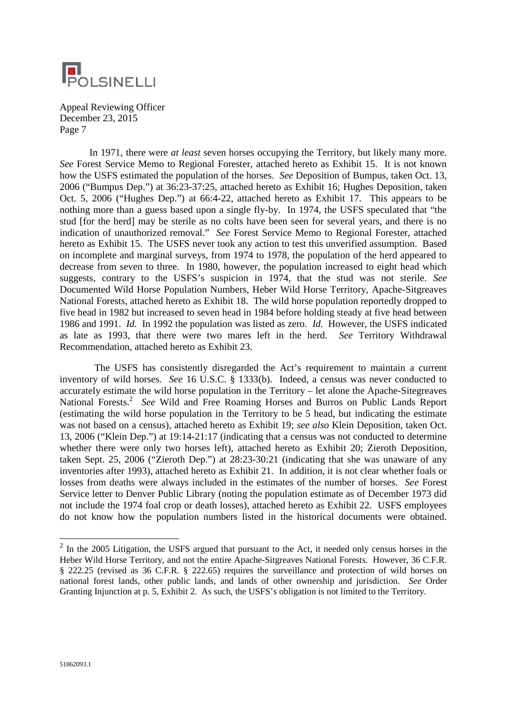

In 1971, there were *at least* seven horses occupying the Territory, but likely many more. *See* Forest Service Memo to Regional Forester, attached hereto as Exhibit 15. It is not known how the USFS estimated the population of the horses. *See* Deposition of Bumpus, taken Oct. 13, 2006 ("Bumpus Dep.") at 36:23-37:25, attached hereto as Exhibit 16; Hughes Deposition, taken Oct. 5, 2006 ("Hughes Dep.") at 66:4-22, attached hereto as Exhibit 17. This appears to be nothing more than a guess based upon a single fly-by. In 1974, the USFS speculated that "the stud [for the herd] may be sterile as no colts have been seen for several years, and there is no indication of unauthorized removal." *See* Forest Service Memo to Regional Forester, attached hereto as Exhibit 15. The USFS never took any action to test this unverified assumption. Based on incomplete and marginal surveys, from 1974 to 1978, the population of the herd appeared to decrease from seven to three. In 1980, however, the population increased to eight head which suggests, contrary to the USFS's suspicion in 1974, that the stud was not sterile. *See* Documented Wild Horse Population Numbers, Heber Wild Horse Territory, Apache-Sitgreaves National Forests, attached hereto as Exhibit 18. The wild horse population reportedly dropped to five head in 1982 but increased to seven head in 1984 before holding steady at five head between 1986 and 1991. *Id.* In 1992 the population was listed as zero. *Id.* However, the USFS indicated as late as 1993, that there were two mares left in the herd. *See* Territory Withdrawal Recommendation, attached hereto as Exhibit 23.

The USFS has consistently disregarded the Act's requirement to maintain a current inventory of wild horses. *See* 16 U.S.C. § 1333(b). Indeed, a census was never conducted to accurately estimate the wild horse population in the Territory – let alone the Apache-Sitegreaves National Forests.<sup>2</sup> See Wild and Free Roaming Horses and Burros on Public Lands Report (estimating the wild horse population in the Territory to be 5 head, but indicating the estimate was not based on a census), attached hereto as Exhibit 19; *see also* Klein Deposition, taken Oct. 13, 2006 ("Klein Dep.") at 19:14-21:17 (indicating that a census was not conducted to determine whether there were only two horses left), attached hereto as Exhibit 20; Zieroth Deposition, taken Sept. 25, 2006 ("Zieroth Dep.") at 28:23-30:21 (indicating that she was unaware of any inventories after 1993), attached hereto as Exhibit 21. In addition, it is not clear whether foals or losses from deaths were always included in the estimates of the number of horses. *See* Forest Service letter to Denver Public Library (noting the population estimate as of December 1973 did not include the 1974 foal crop or death losses), attached hereto as Exhibit 22. USFS employees do not know how the population numbers listed in the historical documents were obtained.

 $2$  In the 2005 Litigation, the USFS argued that pursuant to the Act, it needed only census horses in the Heber Wild Horse Territory, and not the entire Apache-Sitgreaves National Forests. However, 36 C.F.R. § 222.25 (revised as 36 C.F.R. § 222.65) requires the surveillance and protection of wild horses on national forest lands, other public lands, and lands of other ownership and jurisdiction. *See* Order Granting Injunction at p. 5, Exhibit 2. As such, the USFS's obligation is not limited to the Territory.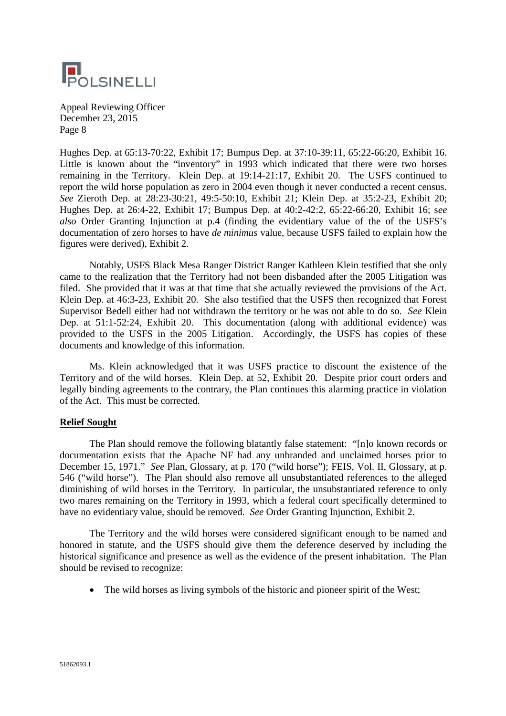

Hughes Dep. at 65:13-70:22, Exhibit 17; Bumpus Dep. at 37:10-39:11, 65:22-66:20, Exhibit 16. Little is known about the "inventory" in 1993 which indicated that there were two horses remaining in the Territory. Klein Dep. at 19:14-21:17, Exhibit 20. The USFS continued to report the wild horse population as zero in 2004 even though it never conducted a recent census. *See* Zieroth Dep. at 28:23-30:21, 49:5-50:10, Exhibit 21; Klein Dep. at 35:2-23, Exhibit 20; Hughes Dep. at 26:4-22, Exhibit 17; Bumpus Dep. at 40:2-42:2, 65:22-66:20, Exhibit 16; s*ee also* Order Granting Injunction at p.4 (finding the evidentiary value of the of the USFS's documentation of zero horses to have *de minimus* value, because USFS failed to explain how the figures were derived), Exhibit 2.

Notably, USFS Black Mesa Ranger District Ranger Kathleen Klein testified that she only came to the realization that the Territory had not been disbanded after the 2005 Litigation was filed. She provided that it was at that time that she actually reviewed the provisions of the Act. Klein Dep. at 46:3-23, Exhibit 20. She also testified that the USFS then recognized that Forest Supervisor Bedell either had not withdrawn the territory or he was not able to do so. *See* Klein Dep. at 51:1-52:24, Exhibit 20. This documentation (along with additional evidence) was provided to the USFS in the 2005 Litigation. Accordingly, the USFS has copies of these documents and knowledge of this information.

Ms. Klein acknowledged that it was USFS practice to discount the existence of the Territory and of the wild horses. Klein Dep. at 52, Exhibit 20. Despite prior court orders and legally binding agreements to the contrary, the Plan continues this alarming practice in violation of the Act. This must be corrected.

# **Relief Sought**

The Plan should remove the following blatantly false statement: "[n]o known records or documentation exists that the Apache NF had any unbranded and unclaimed horses prior to December 15, 1971." *See* Plan, Glossary, at p. 170 ("wild horse"); FEIS, Vol. II, Glossary, at p. 546 ("wild horse"). The Plan should also remove all unsubstantiated references to the alleged diminishing of wild horses in the Territory. In particular, the unsubstantiated reference to only two mares remaining on the Territory in 1993, which a federal court specifically determined to have no evidentiary value, should be removed. *See* Order Granting Injunction, Exhibit 2.

The Territory and the wild horses were considered significant enough to be named and honored in statute, and the USFS should give them the deference deserved by including the historical significance and presence as well as the evidence of the present inhabitation. The Plan should be revised to recognize:

• The wild horses as living symbols of the historic and pioneer spirit of the West;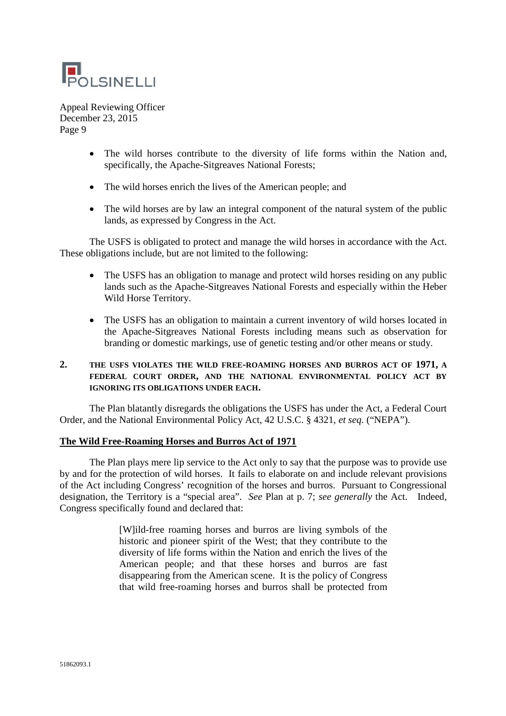

- The wild horses contribute to the diversity of life forms within the Nation and, specifically, the Apache-Sitgreaves National Forests;
- The wild horses enrich the lives of the American people; and
- The wild horses are by law an integral component of the natural system of the public lands, as expressed by Congress in the Act.

The USFS is obligated to protect and manage the wild horses in accordance with the Act. These obligations include, but are not limited to the following:

- The USFS has an obligation to manage and protect wild horses residing on any public lands such as the Apache-Sitgreaves National Forests and especially within the Heber Wild Horse Territory.
- The USFS has an obligation to maintain a current inventory of wild horses located in the Apache-Sitgreaves National Forests including means such as observation for branding or domestic markings, use of genetic testing and/or other means or study.

# **2. THE USFS VIOLATES THE WILD FREE-ROAMING HORSES AND BURROS ACT OF 1971, A FEDERAL COURT ORDER, AND THE NATIONAL ENVIRONMENTAL POLICY ACT BY IGNORING ITS OBLIGATIONS UNDER EACH.**

The Plan blatantly disregards the obligations the USFS has under the Act, a Federal Court Order, and the National Environmental Policy Act, 42 U.S.C. § 4321, *et seq.* ("NEPA").

# **The Wild Free-Roaming Horses and Burros Act of 1971**

The Plan plays mere lip service to the Act only to say that the purpose was to provide use by and for the protection of wild horses. It fails to elaborate on and include relevant provisions of the Act including Congress' recognition of the horses and burros. Pursuant to Congressional designation, the Territory is a "special area". *See* Plan at p. 7; *see generally* the Act. Indeed, Congress specifically found and declared that:

> [W]ild-free roaming horses and burros are living symbols of the historic and pioneer spirit of the West; that they contribute to the diversity of life forms within the Nation and enrich the lives of the American people; and that these horses and burros are fast disappearing from the American scene. It is the policy of Congress that wild free-roaming horses and burros shall be protected from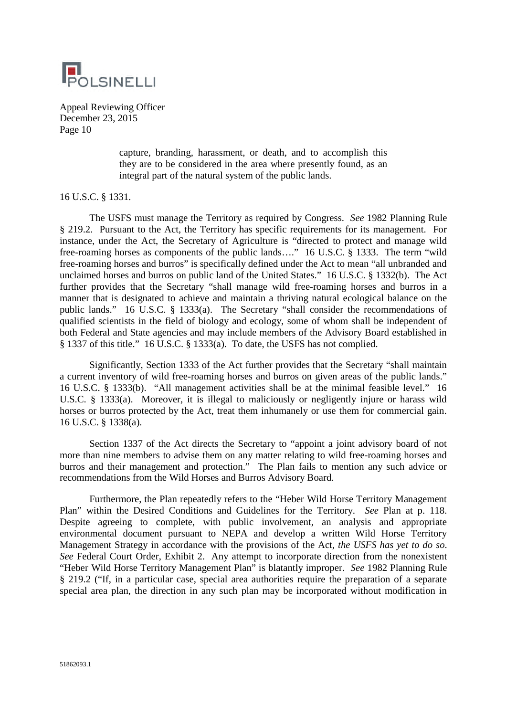

> capture, branding, harassment, or death, and to accomplish this they are to be considered in the area where presently found, as an integral part of the natural system of the public lands.

## 16 U.S.C. § 1331.

The USFS must manage the Territory as required by Congress. *See* 1982 Planning Rule § 219.2. Pursuant to the Act, the Territory has specific requirements for its management. For instance, under the Act, the Secretary of Agriculture is "directed to protect and manage wild free-roaming horses as components of the public lands…." 16 U.S.C. § 1333. The term "wild" free-roaming horses and burros" is specifically defined under the Act to mean "all unbranded and unclaimed horses and burros on public land of the United States." 16 U.S.C. § 1332(b). The Act further provides that the Secretary "shall manage wild free-roaming horses and burros in a manner that is designated to achieve and maintain a thriving natural ecological balance on the public lands." 16 U.S.C. § 1333(a). The Secretary "shall consider the recommendations of qualified scientists in the field of biology and ecology, some of whom shall be independent of both Federal and State agencies and may include members of the Advisory Board established in § 1337 of this title." 16 U.S.C. § 1333(a). To date, the USFS has not complied.

Significantly, Section 1333 of the Act further provides that the Secretary "shall maintain a current inventory of wild free-roaming horses and burros on given areas of the public lands." 16 U.S.C. § 1333(b). "All management activities shall be at the minimal feasible level." 16 U.S.C. § 1333(a). Moreover, it is illegal to maliciously or negligently injure or harass wild horses or burros protected by the Act, treat them inhumanely or use them for commercial gain. 16 U.S.C. § 1338(a).

Section 1337 of the Act directs the Secretary to "appoint a joint advisory board of not more than nine members to advise them on any matter relating to wild free-roaming horses and burros and their management and protection." The Plan fails to mention any such advice or recommendations from the Wild Horses and Burros Advisory Board.

Furthermore, the Plan repeatedly refers to the "Heber Wild Horse Territory Management Plan" within the Desired Conditions and Guidelines for the Territory. *See* Plan at p. 118. Despite agreeing to complete, with public involvement, an analysis and appropriate environmental document pursuant to NEPA and develop a written Wild Horse Territory Management Strategy in accordance with the provisions of the Act, *the USFS has yet to do so*. *See* Federal Court Order, Exhibit 2. Any attempt to incorporate direction from the nonexistent "Heber Wild Horse Territory Management Plan" is blatantly improper. *See* 1982 Planning Rule § 219.2 ("If, in a particular case, special area authorities require the preparation of a separate special area plan, the direction in any such plan may be incorporated without modification in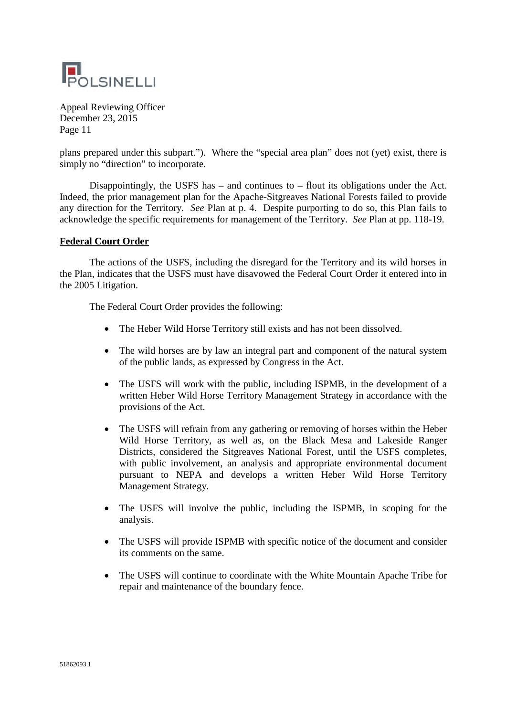

plans prepared under this subpart."). Where the "special area plan" does not (yet) exist, there is simply no "direction" to incorporate.

Disappointingly, the USFS has  $-$  and continues to  $-$  flout its obligations under the Act. Indeed, the prior management plan for the Apache-Sitgreaves National Forests failed to provide any direction for the Territory. *See* Plan at p. 4. Despite purporting to do so, this Plan fails to acknowledge the specific requirements for management of the Territory. *See* Plan at pp. 118-19.

## **Federal Court Order**

The actions of the USFS, including the disregard for the Territory and its wild horses in the Plan, indicates that the USFS must have disavowed the Federal Court Order it entered into in the 2005 Litigation.

The Federal Court Order provides the following:

- The Heber Wild Horse Territory still exists and has not been dissolved.
- The wild horses are by law an integral part and component of the natural system of the public lands, as expressed by Congress in the Act.
- The USFS will work with the public, including ISPMB, in the development of a written Heber Wild Horse Territory Management Strategy in accordance with the provisions of the Act.
- The USFS will refrain from any gathering or removing of horses within the Heber Wild Horse Territory, as well as, on the Black Mesa and Lakeside Ranger Districts, considered the Sitgreaves National Forest, until the USFS completes, with public involvement, an analysis and appropriate environmental document pursuant to NEPA and develops a written Heber Wild Horse Territory Management Strategy.
- The USFS will involve the public, including the ISPMB, in scoping for the analysis.
- The USFS will provide ISPMB with specific notice of the document and consider its comments on the same.
- The USFS will continue to coordinate with the White Mountain Apache Tribe for repair and maintenance of the boundary fence.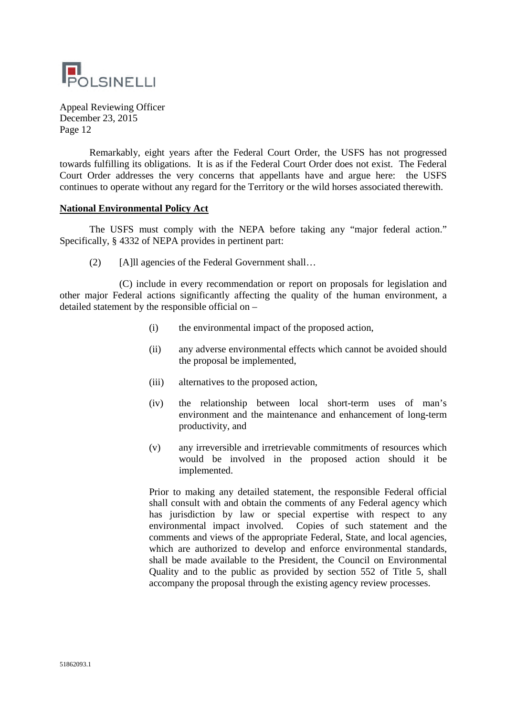

Remarkably, eight years after the Federal Court Order, the USFS has not progressed towards fulfilling its obligations. It is as if the Federal Court Order does not exist. The Federal Court Order addresses the very concerns that appellants have and argue here: the USFS continues to operate without any regard for the Territory or the wild horses associated therewith.

#### **National Environmental Policy Act**

The USFS must comply with the NEPA before taking any "major federal action." Specifically, § 4332 of NEPA provides in pertinent part:

(2) [A]ll agencies of the Federal Government shall…

(C) include in every recommendation or report on proposals for legislation and other major Federal actions significantly affecting the quality of the human environment, a detailed statement by the responsible official on –

- (i) the environmental impact of the proposed action,
- (ii) any adverse environmental effects which cannot be avoided should the proposal be implemented,
- (iii) alternatives to the proposed action,
- (iv) the relationship between local short-term uses of man's environment and the maintenance and enhancement of long-term productivity, and
- (v) any irreversible and irretrievable commitments of resources which would be involved in the proposed action should it be implemented.

Prior to making any detailed statement, the responsible Federal official shall consult with and obtain the comments of any Federal agency which has jurisdiction by law or special expertise with respect to any environmental impact involved. Copies of such statement and the comments and views of the appropriate Federal, State, and local agencies, which are authorized to develop and enforce environmental standards, shall be made available to the President, the Council on Environmental Quality and to the public as provided by section 552 of Title 5, shall accompany the proposal through the existing agency review processes.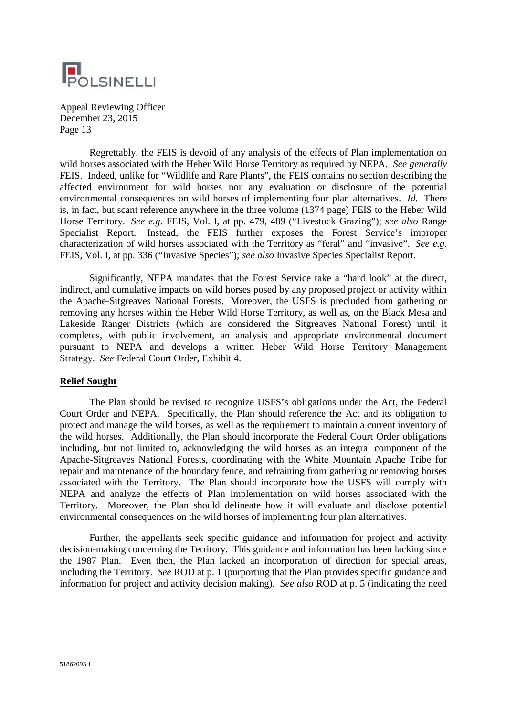

Regrettably, the FEIS is devoid of any analysis of the effects of Plan implementation on wild horses associated with the Heber Wild Horse Territory as required by NEPA. *See generally* FEIS. Indeed, unlike for "Wildlife and Rare Plants", the FEIS contains no section describing the affected environment for wild horses nor any evaluation or disclosure of the potential environmental consequences on wild horses of implementing four plan alternatives. *Id.* There is, in fact, but scant reference anywhere in the three volume (1374 page) FEIS to the Heber Wild Horse Territory. *See e.g.* FEIS, Vol. I, at pp. 479, 489 ("Livestock Grazing"); *see also* Range Specialist Report. Instead, the FEIS further exposes the Forest Service's improper characterization of wild horses associated with the Territory as "feral" and "invasive". *See e.g.* FEIS, Vol. I, at pp. 336 ("Invasive Species"); *see also* Invasive Species Specialist Report.

Significantly, NEPA mandates that the Forest Service take a "hard look" at the direct, indirect, and cumulative impacts on wild horses posed by any proposed project or activity within the Apache-Sitgreaves National Forests. Moreover, the USFS is precluded from gathering or removing any horses within the Heber Wild Horse Territory, as well as, on the Black Mesa and Lakeside Ranger Districts (which are considered the Sitgreaves National Forest) until it completes, with public involvement, an analysis and appropriate environmental document pursuant to NEPA and develops a written Heber Wild Horse Territory Management Strategy. *See* Federal Court Order, Exhibit 4.

#### **Relief Sought**

The Plan should be revised to recognize USFS's obligations under the Act, the Federal Court Order and NEPA. Specifically, the Plan should reference the Act and its obligation to protect and manage the wild horses, as well as the requirement to maintain a current inventory of the wild horses. Additionally, the Plan should incorporate the Federal Court Order obligations including, but not limited to, acknowledging the wild horses as an integral component of the Apache-Sitgreaves National Forests, coordinating with the White Mountain Apache Tribe for repair and maintenance of the boundary fence, and refraining from gathering or removing horses associated with the Territory. The Plan should incorporate how the USFS will comply with NEPA and analyze the effects of Plan implementation on wild horses associated with the Territory. Moreover, the Plan should delineate how it will evaluate and disclose potential environmental consequences on the wild horses of implementing four plan alternatives.

Further, the appellants seek specific guidance and information for project and activity decision-making concerning the Territory. This guidance and information has been lacking since the 1987 Plan. Even then, the Plan lacked an incorporation of direction for special areas, including the Territory. *See* ROD at p. 1 (purporting that the Plan provides specific guidance and information for project and activity decision making). *See also* ROD at p. 5 (indicating the need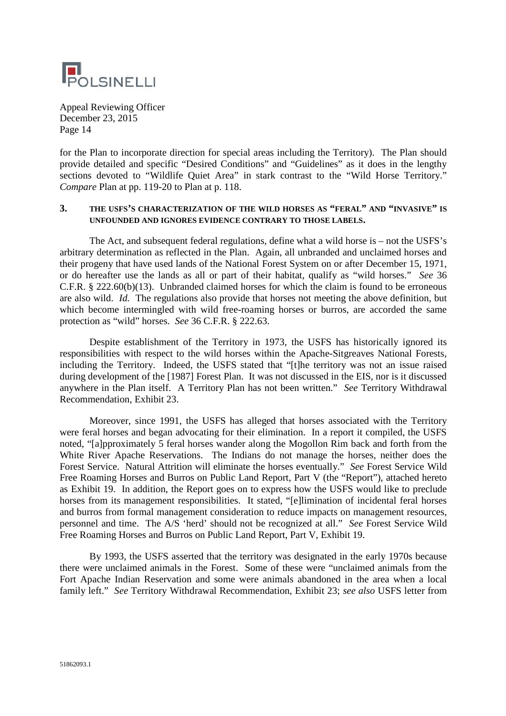

for the Plan to incorporate direction for special areas including the Territory). The Plan should provide detailed and specific "Desired Conditions" and "Guidelines" as it does in the lengthy sections devoted to "Wildlife Quiet Area" in stark contrast to the "Wild Horse Territory." *Compare* Plan at pp. 119-20 to Plan at p. 118.

#### **3. THE USFS'S CHARACTERIZATION OF THE WILD HORSES AS "FERAL" AND "INVASIVE" IS UNFOUNDED AND IGNORES EVIDENCE CONTRARY TO THOSE LABELS.**

The Act, and subsequent federal regulations, define what a wild horse is – not the USFS's arbitrary determination as reflected in the Plan. Again, all unbranded and unclaimed horses and their progeny that have used lands of the National Forest System on or after December 15, 1971, or do hereafter use the lands as all or part of their habitat, qualify as "wild horses." *See* 36 C.F.R. § 222.60(b)(13). Unbranded claimed horses for which the claim is found to be erroneous are also wild. *Id.* The regulations also provide that horses not meeting the above definition, but which become intermingled with wild free-roaming horses or burros, are accorded the same protection as "wild" horses. *See* 36 C.F.R. § 222.63.

Despite establishment of the Territory in 1973, the USFS has historically ignored its responsibilities with respect to the wild horses within the Apache-Sitgreaves National Forests, including the Territory. Indeed, the USFS stated that "[t]he territory was not an issue raised during development of the [1987] Forest Plan. It was not discussed in the EIS, nor is it discussed anywhere in the Plan itself. A Territory Plan has not been written." *See* Territory Withdrawal Recommendation, Exhibit 23.

Moreover, since 1991, the USFS has alleged that horses associated with the Territory were feral horses and began advocating for their elimination. In a report it compiled, the USFS noted, "[a]pproximately 5 feral horses wander along the Mogollon Rim back and forth from the White River Apache Reservations. The Indians do not manage the horses, neither does the Forest Service. Natural Attrition will eliminate the horses eventually." *See* Forest Service Wild Free Roaming Horses and Burros on Public Land Report, Part V (the "Report"), attached hereto as Exhibit 19. In addition, the Report goes on to express how the USFS would like to preclude horses from its management responsibilities. It stated, "[e]limination of incidental feral horses and burros from formal management consideration to reduce impacts on management resources, personnel and time. The A/S 'herd' should not be recognized at all." *See* Forest Service Wild Free Roaming Horses and Burros on Public Land Report, Part V, Exhibit 19.

By 1993, the USFS asserted that the territory was designated in the early 1970s because there were unclaimed animals in the Forest. Some of these were "unclaimed animals from the Fort Apache Indian Reservation and some were animals abandoned in the area when a local family left." *See* Territory Withdrawal Recommendation, Exhibit 23; *see also* USFS letter from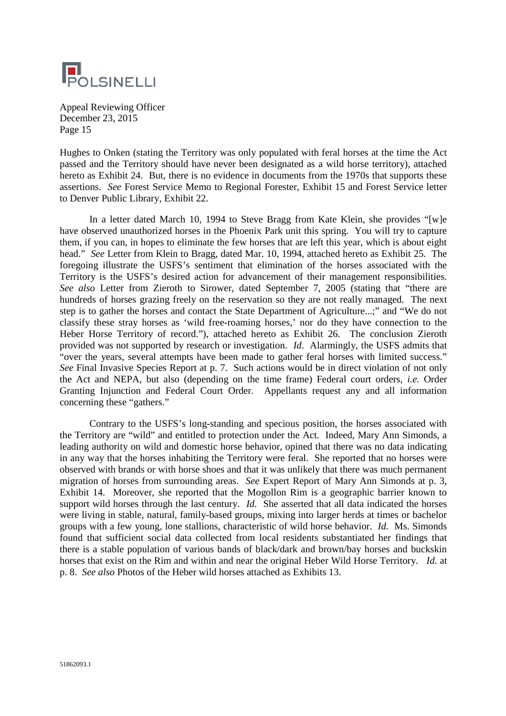

Hughes to Onken (stating the Territory was only populated with feral horses at the time the Act passed and the Territory should have never been designated as a wild horse territory), attached hereto as Exhibit 24. But, there is no evidence in documents from the 1970s that supports these assertions. *See* Forest Service Memo to Regional Forester, Exhibit 15 and Forest Service letter to Denver Public Library, Exhibit 22.

In a letter dated March 10, 1994 to Steve Bragg from Kate Klein, she provides "[w]e have observed unauthorized horses in the Phoenix Park unit this spring. You will try to capture them, if you can, in hopes to eliminate the few horses that are left this year, which is about eight head." *See* Letter from Klein to Bragg, dated Mar. 10, 1994, attached hereto as Exhibit 25. The foregoing illustrate the USFS's sentiment that elimination of the horses associated with the Territory is the USFS's desired action for advancement of their management responsibilities. *See also* Letter from Zieroth to Sirower, dated September 7, 2005 (stating that "there are hundreds of horses grazing freely on the reservation so they are not really managed. The next step is to gather the horses and contact the State Department of Agriculture...;" and "We do not classify these stray horses as 'wild free-roaming horses,' nor do they have connection to the Heber Horse Territory of record."), attached hereto as Exhibit 26. The conclusion Zieroth provided was not supported by research or investigation. *Id*. Alarmingly, the USFS admits that "over the years, several attempts have been made to gather feral horses with limited success." *See* Final Invasive Species Report at p. 7. Such actions would be in direct violation of not only the Act and NEPA, but also (depending on the time frame) Federal court orders, *i.e.* Order Granting Injunction and Federal Court Order. Appellants request any and all information concerning these "gathers."

Contrary to the USFS's long-standing and specious position, the horses associated with the Territory are "wild" and entitled to protection under the Act. Indeed, Mary Ann Simonds, a leading authority on wild and domestic horse behavior, opined that there was no data indicating in any way that the horses inhabiting the Territory were feral. She reported that no horses were observed with brands or with horse shoes and that it was unlikely that there was much permanent migration of horses from surrounding areas. *See* Expert Report of Mary Ann Simonds at p. 3, Exhibit 14. Moreover, she reported that the Mogollon Rim is a geographic barrier known to support wild horses through the last century. *Id.* She asserted that all data indicated the horses were living in stable, natural, family-based groups, mixing into larger herds at times or bachelor groups with a few young, lone stallions, characteristic of wild horse behavior. *Id.* Ms. Simonds found that sufficient social data collected from local residents substantiated her findings that there is a stable population of various bands of black/dark and brown/bay horses and buckskin horses that exist on the Rim and within and near the original Heber Wild Horse Territory. *Id.* at p. 8. *See also* Photos of the Heber wild horses attached as Exhibits 13.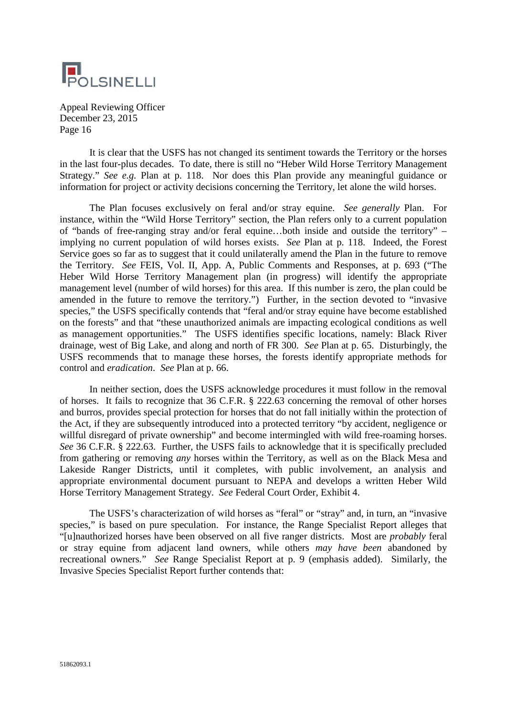

It is clear that the USFS has not changed its sentiment towards the Territory or the horses in the last four-plus decades. To date, there is still no "Heber Wild Horse Territory Management Strategy." *See e.g.* Plan at p. 118. Nor does this Plan provide any meaningful guidance or information for project or activity decisions concerning the Territory, let alone the wild horses.

The Plan focuses exclusively on feral and/or stray equine. *See generally* Plan. For instance, within the "Wild Horse Territory" section, the Plan refers only to a current population of "bands of free-ranging stray and/or feral equine…both inside and outside the territory" – implying no current population of wild horses exists. *See* Plan at p. 118. Indeed, the Forest Service goes so far as to suggest that it could unilaterally amend the Plan in the future to remove the Territory. *See* FEIS, Vol. II, App. A, Public Comments and Responses, at p. 693 ("The Heber Wild Horse Territory Management plan (in progress) will identify the appropriate management level (number of wild horses) for this area. If this number is zero, the plan could be amended in the future to remove the territory.") Further, in the section devoted to "invasive species," the USFS specifically contends that "feral and/or stray equine have become established on the forests" and that "these unauthorized animals are impacting ecological conditions as well as management opportunities." The USFS identifies specific locations, namely: Black River drainage, west of Big Lake, and along and north of FR 300. *See* Plan at p. 65. Disturbingly, the USFS recommends that to manage these horses, the forests identify appropriate methods for control and *eradication*. *See* Plan at p. 66.

In neither section, does the USFS acknowledge procedures it must follow in the removal of horses. It fails to recognize that 36 C.F.R. § 222.63 concerning the removal of other horses and burros, provides special protection for horses that do not fall initially within the protection of the Act, if they are subsequently introduced into a protected territory "by accident, negligence or willful disregard of private ownership" and become intermingled with wild free-roaming horses. *See* 36 C.F.R. § 222.63. Further, the USFS fails to acknowledge that it is specifically precluded from gathering or removing *any* horses within the Territory, as well as on the Black Mesa and Lakeside Ranger Districts, until it completes, with public involvement, an analysis and appropriate environmental document pursuant to NEPA and develops a written Heber Wild Horse Territory Management Strategy. *See* Federal Court Order, Exhibit 4.

The USFS's characterization of wild horses as "feral" or "stray" and, in turn, an "invasive species," is based on pure speculation. For instance, the Range Specialist Report alleges that "[u]nauthorized horses have been observed on all five ranger districts. Most are *probably* feral or stray equine from adjacent land owners, while others *may have been* abandoned by recreational owners." *See* Range Specialist Report at p. 9 (emphasis added). Similarly, the Invasive Species Specialist Report further contends that: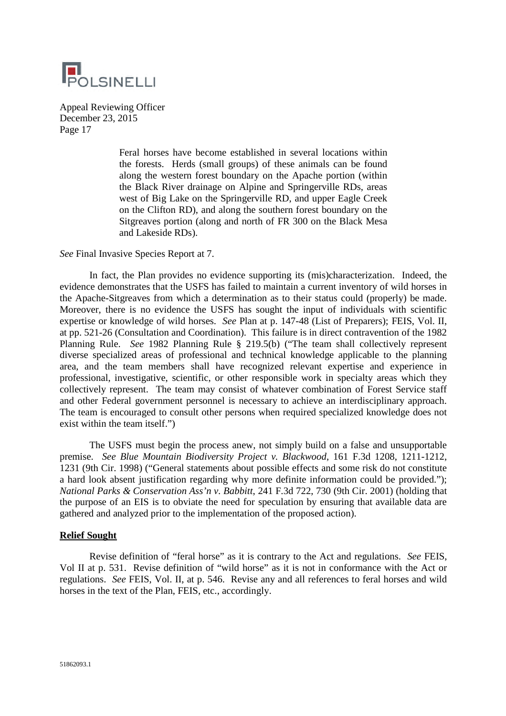

> Feral horses have become established in several locations within the forests. Herds (small groups) of these animals can be found along the western forest boundary on the Apache portion (within the Black River drainage on Alpine and Springerville RDs, areas west of Big Lake on the Springerville RD, and upper Eagle Creek on the Clifton RD), and along the southern forest boundary on the Sitgreaves portion (along and north of FR 300 on the Black Mesa and Lakeside RDs).

*See* Final Invasive Species Report at 7.

In fact, the Plan provides no evidence supporting its (mis)characterization. Indeed, the evidence demonstrates that the USFS has failed to maintain a current inventory of wild horses in the Apache-Sitgreaves from which a determination as to their status could (properly) be made. Moreover, there is no evidence the USFS has sought the input of individuals with scientific expertise or knowledge of wild horses. *See* Plan at p. 147-48 (List of Preparers); FEIS, Vol. II, at pp. 521-26 (Consultation and Coordination). This failure is in direct contravention of the 1982 Planning Rule. *See* 1982 Planning Rule § 219.5(b) ("The team shall collectively represent diverse specialized areas of professional and technical knowledge applicable to the planning area, and the team members shall have recognized relevant expertise and experience in professional, investigative, scientific, or other responsible work in specialty areas which they collectively represent. The team may consist of whatever combination of Forest Service staff and other Federal government personnel is necessary to achieve an interdisciplinary approach. The team is encouraged to consult other persons when required specialized knowledge does not exist within the team itself.")

The USFS must begin the process anew, not simply build on a false and unsupportable premise. *See Blue Mountain Biodiversity Project v. Blackwood*, 161 F.3d 1208, 1211-1212, 1231 (9th Cir. 1998) ("General statements about possible effects and some risk do not constitute a hard look absent justification regarding why more definite information could be provided."); *National Parks & Conservation Ass'n v. Babbitt*, 241 F.3d 722, 730 (9th Cir. 2001) (holding that the purpose of an EIS is to obviate the need for speculation by ensuring that available data are gathered and analyzed prior to the implementation of the proposed action).

# **Relief Sought**

Revise definition of "feral horse" as it is contrary to the Act and regulations. *See* FEIS, Vol II at p. 531. Revise definition of "wild horse" as it is not in conformance with the Act or regulations. *See* FEIS, Vol. II, at p. 546. Revise any and all references to feral horses and wild horses in the text of the Plan, FEIS, etc., accordingly.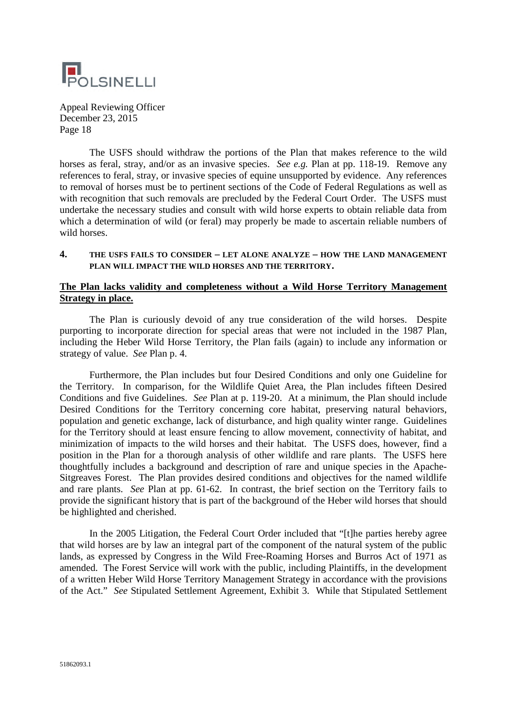

The USFS should withdraw the portions of the Plan that makes reference to the wild horses as feral, stray, and/or as an invasive species. *See e.g.* Plan at pp. 118-19. Remove any references to feral, stray, or invasive species of equine unsupported by evidence. Any references to removal of horses must be to pertinent sections of the Code of Federal Regulations as well as with recognition that such removals are precluded by the Federal Court Order. The USFS must undertake the necessary studies and consult with wild horse experts to obtain reliable data from which a determination of wild (or feral) may properly be made to ascertain reliable numbers of wild horses.

#### **4. THE USFS FAILS TO CONSIDER – LET ALONE ANALYZE – HOW THE LAND MANAGEMENT PLAN WILL IMPACT THE WILD HORSES AND THE TERRITORY.**

# **The Plan lacks validity and completeness without a Wild Horse Territory Management Strategy in place.**

The Plan is curiously devoid of any true consideration of the wild horses. Despite purporting to incorporate direction for special areas that were not included in the 1987 Plan, including the Heber Wild Horse Territory, the Plan fails (again) to include any information or strategy of value. *See* Plan p. 4.

Furthermore, the Plan includes but four Desired Conditions and only one Guideline for the Territory. In comparison, for the Wildlife Quiet Area, the Plan includes fifteen Desired Conditions and five Guidelines. *See* Plan at p. 119-20. At a minimum, the Plan should include Desired Conditions for the Territory concerning core habitat, preserving natural behaviors, population and genetic exchange, lack of disturbance, and high quality winter range. Guidelines for the Territory should at least ensure fencing to allow movement, connectivity of habitat, and minimization of impacts to the wild horses and their habitat. The USFS does, however, find a position in the Plan for a thorough analysis of other wildlife and rare plants. The USFS here thoughtfully includes a background and description of rare and unique species in the Apache-Sitgreaves Forest. The Plan provides desired conditions and objectives for the named wildlife and rare plants. *See* Plan at pp. 61-62. In contrast, the brief section on the Territory fails to provide the significant history that is part of the background of the Heber wild horses that should be highlighted and cherished.

In the 2005 Litigation, the Federal Court Order included that "[t]he parties hereby agree that wild horses are by law an integral part of the component of the natural system of the public lands, as expressed by Congress in the Wild Free-Roaming Horses and Burros Act of 1971 as amended. The Forest Service will work with the public, including Plaintiffs, in the development of a written Heber Wild Horse Territory Management Strategy in accordance with the provisions of the Act." *See* Stipulated Settlement Agreement, Exhibit 3. While that Stipulated Settlement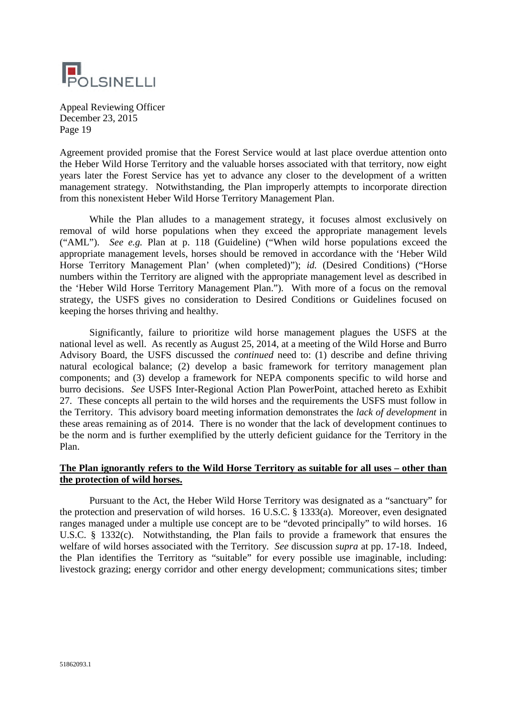

Agreement provided promise that the Forest Service would at last place overdue attention onto the Heber Wild Horse Territory and the valuable horses associated with that territory, now eight years later the Forest Service has yet to advance any closer to the development of a written management strategy. Notwithstanding, the Plan improperly attempts to incorporate direction from this nonexistent Heber Wild Horse Territory Management Plan.

While the Plan alludes to a management strategy, it focuses almost exclusively on removal of wild horse populations when they exceed the appropriate management levels ("AML"). *See e.g.* Plan at p. 118 (Guideline) ("When wild horse populations exceed the appropriate management levels, horses should be removed in accordance with the 'Heber Wild Horse Territory Management Plan' (when completed)"); *id.* (Desired Conditions) ("Horse numbers within the Territory are aligned with the appropriate management level as described in the 'Heber Wild Horse Territory Management Plan."). With more of a focus on the removal strategy, the USFS gives no consideration to Desired Conditions or Guidelines focused on keeping the horses thriving and healthy.

Significantly, failure to prioritize wild horse management plagues the USFS at the national level as well. As recently as August 25, 2014, at a meeting of the Wild Horse and Burro Advisory Board, the USFS discussed the *continued* need to: (1) describe and define thriving natural ecological balance; (2) develop a basic framework for territory management plan components; and (3) develop a framework for NEPA components specific to wild horse and burro decisions. *See* USFS Inter-Regional Action Plan PowerPoint, attached hereto as Exhibit 27. These concepts all pertain to the wild horses and the requirements the USFS must follow in the Territory. This advisory board meeting information demonstrates the *lack of development* in these areas remaining as of 2014. There is no wonder that the lack of development continues to be the norm and is further exemplified by the utterly deficient guidance for the Territory in the Plan.

# **The Plan ignorantly refers to the Wild Horse Territory as suitable for all uses – other than the protection of wild horses.**

Pursuant to the Act, the Heber Wild Horse Territory was designated as a "sanctuary" for the protection and preservation of wild horses. 16 U.S.C. § 1333(a). Moreover, even designated ranges managed under a multiple use concept are to be "devoted principally" to wild horses. 16 U.S.C. § 1332(c). Notwithstanding, the Plan fails to provide a framework that ensures the welfare of wild horses associated with the Territory. *See* discussion *supra* at pp. 17-18. Indeed, the Plan identifies the Territory as "suitable" for every possible use imaginable, including: livestock grazing; energy corridor and other energy development; communications sites; timber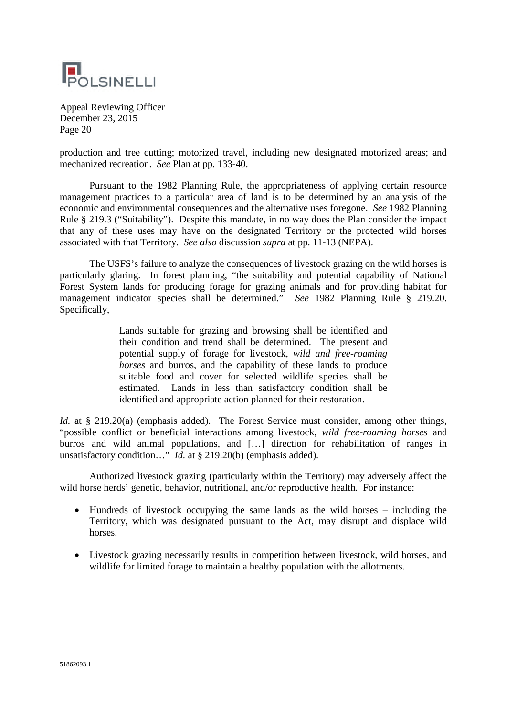

production and tree cutting; motorized travel, including new designated motorized areas; and mechanized recreation. *See* Plan at pp. 133-40.

Pursuant to the 1982 Planning Rule, the appropriateness of applying certain resource management practices to a particular area of land is to be determined by an analysis of the economic and environmental consequences and the alternative uses foregone. *See* 1982 Planning Rule § 219.3 ("Suitability"). Despite this mandate, in no way does the Plan consider the impact that any of these uses may have on the designated Territory or the protected wild horses associated with that Territory. *See also* discussion *supra* at pp. 11-13 (NEPA).

The USFS's failure to analyze the consequences of livestock grazing on the wild horses is particularly glaring. In forest planning, "the suitability and potential capability of National Forest System lands for producing forage for grazing animals and for providing habitat for management indicator species shall be determined." *See* 1982 Planning Rule § 219.20. Specifically,

> Lands suitable for grazing and browsing shall be identified and their condition and trend shall be determined. The present and potential supply of forage for livestock, *wild and free-roaming horses* and burros, and the capability of these lands to produce suitable food and cover for selected wildlife species shall be estimated. Lands in less than satisfactory condition shall be identified and appropriate action planned for their restoration.

*Id.* at § 219.20(a) (emphasis added). The Forest Service must consider, among other things, "possible conflict or beneficial interactions among livestock, *wild free-roaming horses* and burros and wild animal populations, and […] direction for rehabilitation of ranges in unsatisfactory condition…" *Id.* at § 219.20(b) (emphasis added).

Authorized livestock grazing (particularly within the Territory) may adversely affect the wild horse herds' genetic, behavior, nutritional, and/or reproductive health. For instance:

- Hundreds of livestock occupying the same lands as the wild horses including the Territory, which was designated pursuant to the Act, may disrupt and displace wild horses.
- Livestock grazing necessarily results in competition between livestock, wild horses, and wildlife for limited forage to maintain a healthy population with the allotments.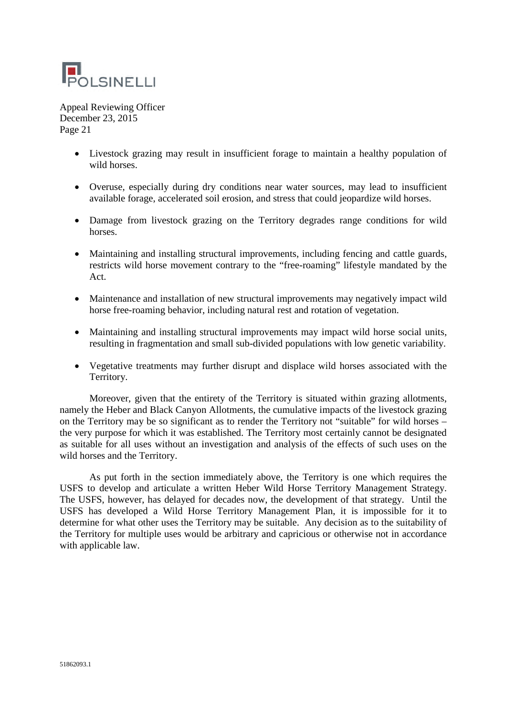

- Livestock grazing may result in insufficient forage to maintain a healthy population of wild horses.
- Overuse, especially during dry conditions near water sources, may lead to insufficient available forage, accelerated soil erosion, and stress that could jeopardize wild horses.
- Damage from livestock grazing on the Territory degrades range conditions for wild horses.
- Maintaining and installing structural improvements, including fencing and cattle guards, restricts wild horse movement contrary to the "free-roaming" lifestyle mandated by the Act.
- Maintenance and installation of new structural improvements may negatively impact wild horse free-roaming behavior, including natural rest and rotation of vegetation.
- Maintaining and installing structural improvements may impact wild horse social units, resulting in fragmentation and small sub-divided populations with low genetic variability.
- Vegetative treatments may further disrupt and displace wild horses associated with the Territory.

Moreover, given that the entirety of the Territory is situated within grazing allotments, namely the Heber and Black Canyon Allotments, the cumulative impacts of the livestock grazing on the Territory may be so significant as to render the Territory not "suitable" for wild horses – the very purpose for which it was established. The Territory most certainly cannot be designated as suitable for all uses without an investigation and analysis of the effects of such uses on the wild horses and the Territory.

As put forth in the section immediately above, the Territory is one which requires the USFS to develop and articulate a written Heber Wild Horse Territory Management Strategy. The USFS, however, has delayed for decades now, the development of that strategy. Until the USFS has developed a Wild Horse Territory Management Plan, it is impossible for it to determine for what other uses the Territory may be suitable. Any decision as to the suitability of the Territory for multiple uses would be arbitrary and capricious or otherwise not in accordance with applicable law.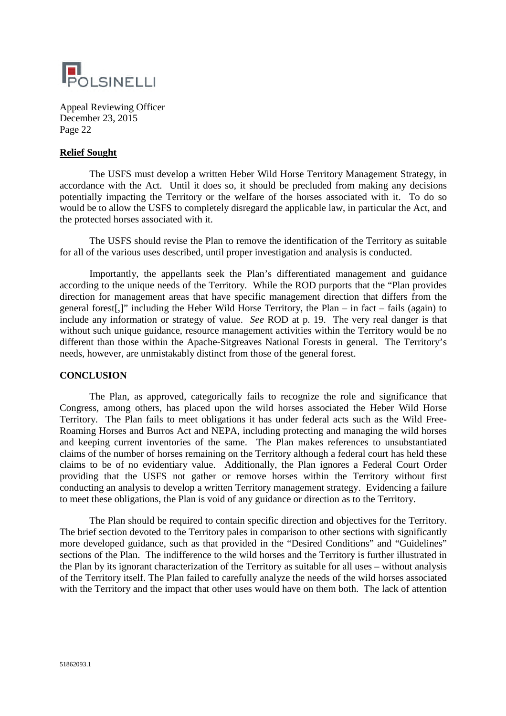

#### **Relief Sought**

The USFS must develop a written Heber Wild Horse Territory Management Strategy, in accordance with the Act. Until it does so, it should be precluded from making any decisions potentially impacting the Territory or the welfare of the horses associated with it. To do so would be to allow the USFS to completely disregard the applicable law, in particular the Act, and the protected horses associated with it.

The USFS should revise the Plan to remove the identification of the Territory as suitable for all of the various uses described, until proper investigation and analysis is conducted.

Importantly, the appellants seek the Plan's differentiated management and guidance according to the unique needs of the Territory. While the ROD purports that the "Plan provides direction for management areas that have specific management direction that differs from the general forest[,]" including the Heber Wild Horse Territory, the Plan – in fact – fails (again) to include any information or strategy of value. *See* ROD at p. 19. The very real danger is that without such unique guidance, resource management activities within the Territory would be no different than those within the Apache-Sitgreaves National Forests in general. The Territory's needs, however, are unmistakably distinct from those of the general forest.

#### **CONCLUSION**

The Plan, as approved, categorically fails to recognize the role and significance that Congress, among others, has placed upon the wild horses associated the Heber Wild Horse Territory. The Plan fails to meet obligations it has under federal acts such as the Wild Free-Roaming Horses and Burros Act and NEPA, including protecting and managing the wild horses and keeping current inventories of the same. The Plan makes references to unsubstantiated claims of the number of horses remaining on the Territory although a federal court has held these claims to be of no evidentiary value. Additionally, the Plan ignores a Federal Court Order providing that the USFS not gather or remove horses within the Territory without first conducting an analysis to develop a written Territory management strategy. Evidencing a failure to meet these obligations, the Plan is void of any guidance or direction as to the Territory.

The Plan should be required to contain specific direction and objectives for the Territory. The brief section devoted to the Territory pales in comparison to other sections with significantly more developed guidance, such as that provided in the "Desired Conditions" and "Guidelines" sections of the Plan. The indifference to the wild horses and the Territory is further illustrated in the Plan by its ignorant characterization of the Territory as suitable for all uses – without analysis of the Territory itself. The Plan failed to carefully analyze the needs of the wild horses associated with the Territory and the impact that other uses would have on them both. The lack of attention